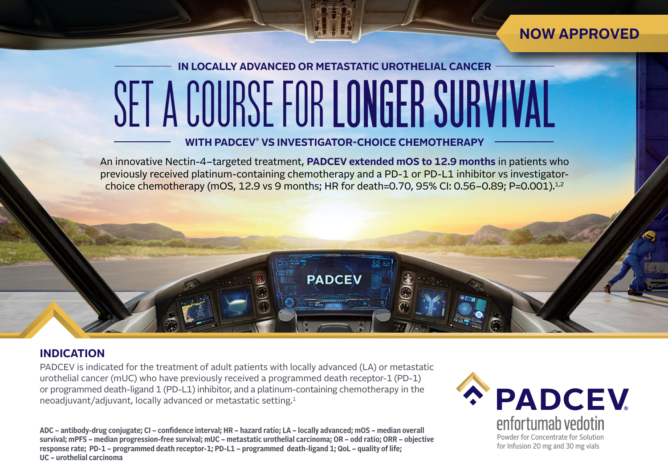### **NOW APPROVED**

# **IN LOCALLY ADVANCED OR METASTATIC UROTHELIAL CANCER** SETA COURSE FOR **LONGER SURVIVAL**

### **WITH PADCEV® VS INVESTIGATOR-CHOICE CHEMOTHERAPY**

An innovative Nectin-4–targeted treatment, **PADCEV extended mOS to 12.9 months** in patients who previously received platinum-containing chemotherapy and a PD-1 or PD-L1 inhibitor vs investigatorchoice chemotherapy (mOS, 12.9 vs 9 months; HR for death=0.70, 95% CI: 0.56–0.89; P=0.001).<sup>1,2</sup>

**PADCEV** 

### **INDICATION**

PADCEV is indicated for the treatment of adult patients with locally advanced (LA) or metastatic urothelial cancer (mUC) who have previously received a programmed death receptor-1 (PD-1) or programmed death-ligand 1 (PD-L1) inhibitor, and a platinum-containing chemotherapy in the neoadjuvant/adjuvant, locally advanced or metastatic setting.1

**ADC – antibody-drug conjugate; CI – confidence interval; HR – hazard ratio; LA – locally advanced; mOS – median overall survival; mPFS – median progression-free survival; mUC – metastatic urothelial carcinoma; OR – odd ratio; ORR – objective response rate; PD-1 – programmed death receptor-1; PD-L1 – programmed death-ligand 1; QoL – quality of life; UC – urothelial carcinoma**